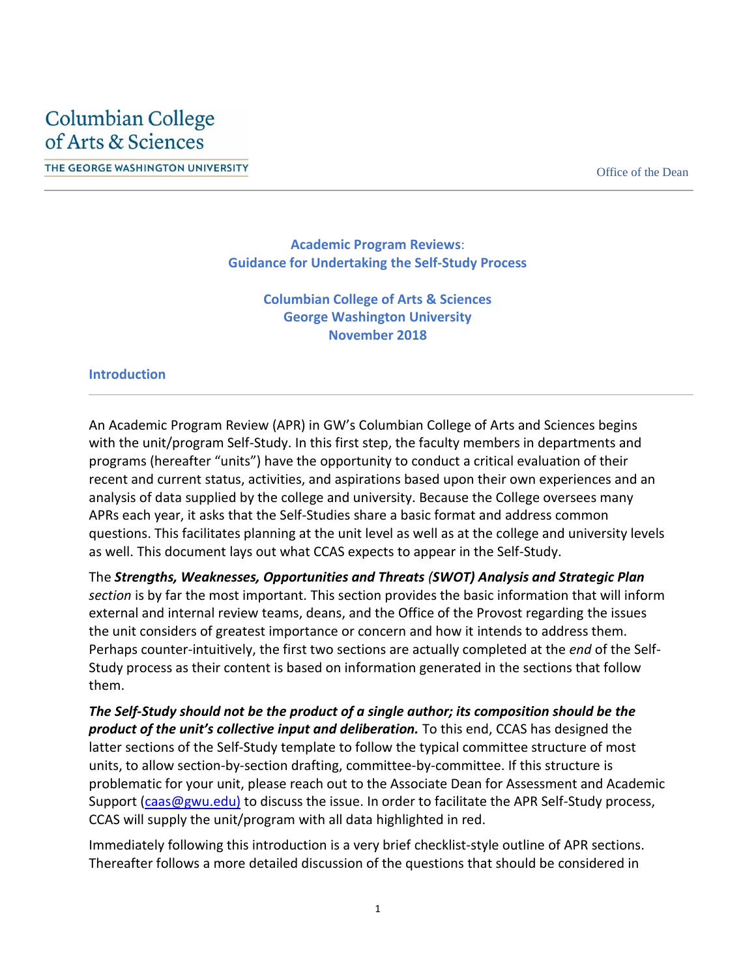THE GEORGE WASHINGTON UNIVERSITY **EXECUTE:** THE GEORGE WASHINGTON UNIVERSITY

**Academic Program Reviews**: **Guidance for Undertaking the Self-Study Process**

> **Columbian College of Arts & Sciences George Washington University November 2018**

#### **Introduction**

An Academic Program Review (APR) in GW's Columbian College of Arts and Sciences begins with the unit/program Self-Study. In this first step, the faculty members in departments and programs (hereafter "units") have the opportunity to conduct a critical evaluation of their recent and current status, activities, and aspirations based upon their own experiences and an analysis of data supplied by the college and university. Because the College oversees many APRs each year, it asks that the Self-Studies share a basic format and address common questions. This facilitates planning at the unit level as well as at the college and university levels as well. This document lays out what CCAS expects to appear in the Self-Study.

The *Strengths, Weaknesses, Opportunities and Threats (SWOT) Analysis and Strategic Plan section* is by far the most important. This section provides the basic information that will inform external and internal review teams, deans, and the Office of the Provost regarding the issues the unit considers of greatest importance or concern and how it intends to address them. Perhaps counter-intuitively, the first two sections are actually completed at the *end* of the Self-Study process as their content is based on information generated in the sections that follow them.

*The Self-Study should not be the product of a single author; its composition should be the product of the unit's collective input and deliberation.* To this end, CCAS has designed the latter sections of the Self-Study template to follow the typical committee structure of most units, to allow section-by-section drafting, committee-by-committee. If this structure is problematic for your unit, please reach out to the Associate Dean for Assessment and Academic Support [\(caas@gwu.edu\)](mailto:caas@gwu.edu)) to discuss the issue. In order to facilitate the APR Self-Study process, CCAS will supply the unit/program with all data highlighted in red.

Immediately following this introduction is a very brief checklist-style outline of APR sections. Thereafter follows a more detailed discussion of the questions that should be considered in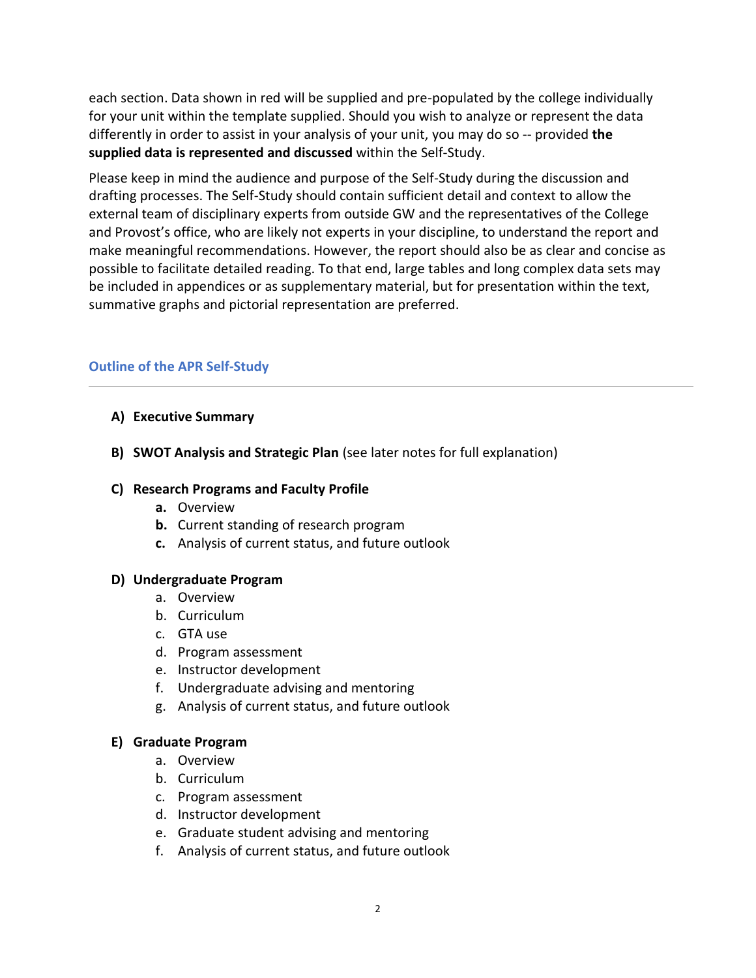each section. Data shown in red will be supplied and pre-populated by the college individually for your unit within the template supplied. Should you wish to analyze or represent the data differently in order to assist in your analysis of your unit, you may do so -- provided **the supplied data is represented and discussed** within the Self-Study.

Please keep in mind the audience and purpose of the Self-Study during the discussion and drafting processes. The Self-Study should contain sufficient detail and context to allow the external team of disciplinary experts from outside GW and the representatives of the College and Provost's office, who are likely not experts in your discipline, to understand the report and make meaningful recommendations. However, the report should also be as clear and concise as possible to facilitate detailed reading. To that end, large tables and long complex data sets may be included in appendices or as supplementary material, but for presentation within the text, summative graphs and pictorial representation are preferred.

# **Outline of the APR Self-Study**

#### **A) Executive Summary**

**B) SWOT Analysis and Strategic Plan** (see later notes for full explanation)

#### **C) Research Programs and Faculty Profile**

- **a.** Overview
- **b.** Current standing of research program
- **c.** Analysis of current status, and future outlook

#### **D) Undergraduate Program**

- a. Overview
- b. Curriculum
- c. GTA use
- d. Program assessment
- e. Instructor development
- f. Undergraduate advising and mentoring
- g. Analysis of current status, and future outlook

#### **E) Graduate Program**

- a. Overview
- b. Curriculum
- c. Program assessment
- d. Instructor development
- e. Graduate student advising and mentoring
- f. Analysis of current status, and future outlook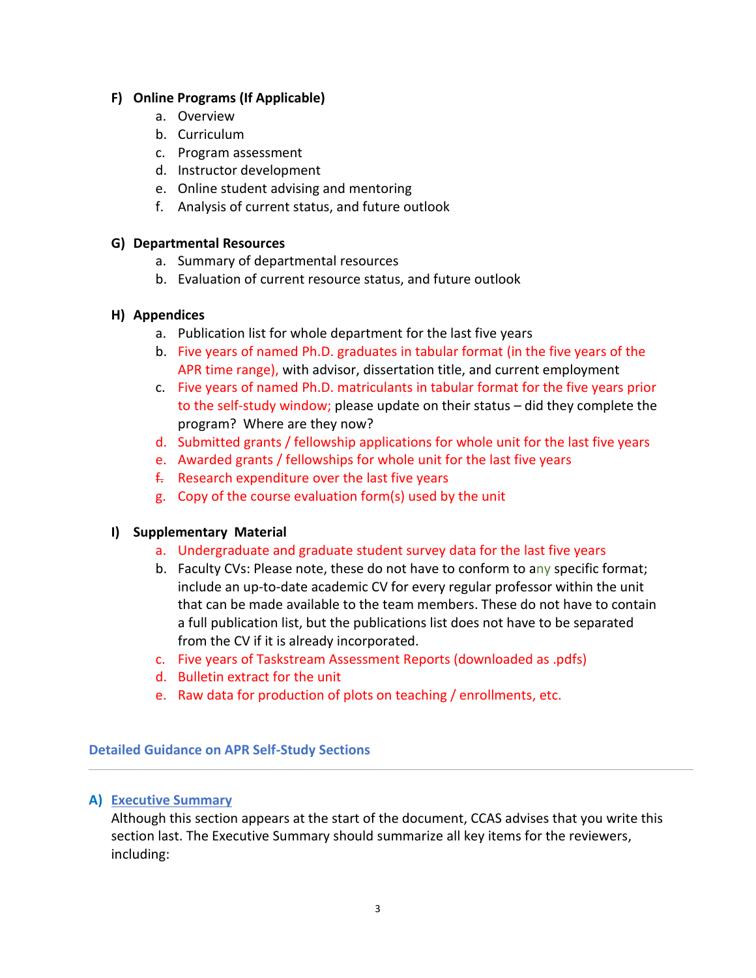# **F) Online Programs (If Applicable)**

- a. Overview
- b. Curriculum
- c. Program assessment
- d. Instructor development
- e. Online student advising and mentoring
- f. Analysis of current status, and future outlook

#### **G) Departmental Resources**

- a. Summary of departmental resources
- b. Evaluation of current resource status, and future outlook

# **H) Appendices**

- a. Publication list for whole department for the last five years
- b. Five years of named Ph.D. graduates in tabular format (in the five years of the APR time range), with advisor, dissertation title, and current employment
- c. Five years of named Ph.D. matriculants in tabular format for the five years prior to the self-study window; please update on their status – did they complete the program? Where are they now?
- d. Submitted grants / fellowship applications for whole unit for the last five years
- e. Awarded grants / fellowships for whole unit for the last five years
- $f<sub>1</sub>$  Research expenditure over the last five years
- g. Copy of the course evaluation form(s) used by the unit

# **I) Supplementary Material**

- a. Undergraduate and graduate student survey data for the last five years
- b. Faculty CVs: Please note, these do not have to conform to any specific format; include an up-to-date academic CV for every regular professor within the unit that can be made available to the team members. These do not have to contain a full publication list, but the publications list does not have to be separated from the CV if it is already incorporated.
- c. Five years of Taskstream Assessment Reports (downloaded as .pdfs)
- d. Bulletin extract for the unit
- e. Raw data for production of plots on teaching / enrollments, etc.

**Detailed Guidance on APR Self-Study Sections**

# **A) Executive Summary**

Although this section appears at the start of the document, CCAS advises that you write this section last. The Executive Summary should summarize all key items for the reviewers, including: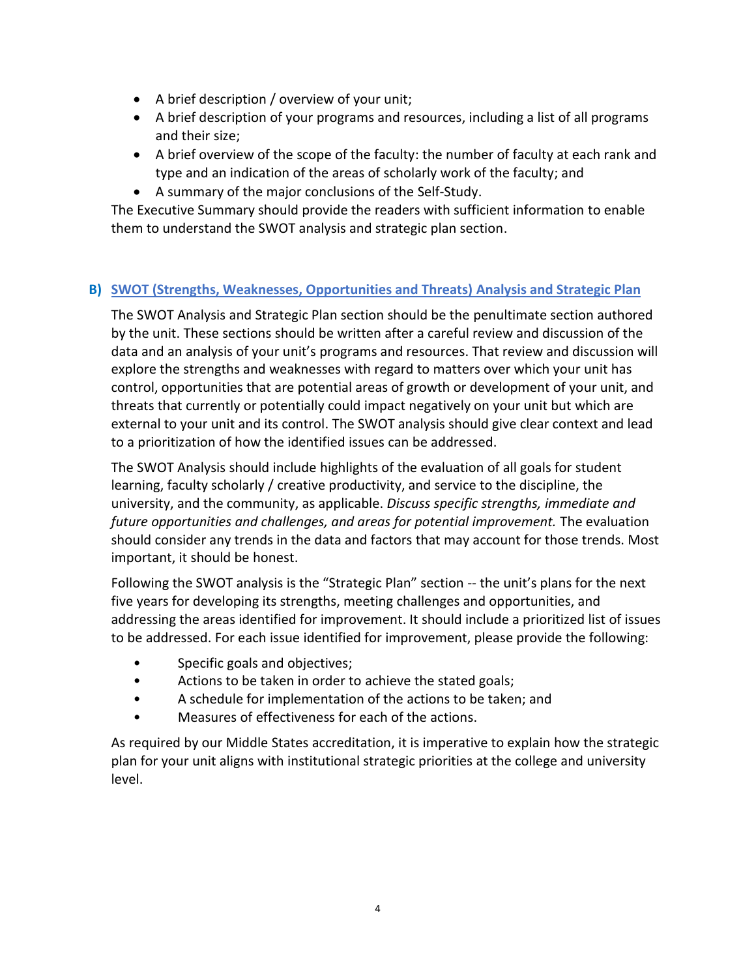- A brief description / overview of your unit;
- A brief description of your programs and resources, including a list of all programs and their size;
- A brief overview of the scope of the faculty: the number of faculty at each rank and type and an indication of the areas of scholarly work of the faculty; and
- A summary of the major conclusions of the Self-Study.

The Executive Summary should provide the readers with sufficient information to enable them to understand the SWOT analysis and strategic plan section.

# **B) SWOT (Strengths, Weaknesses, Opportunities and Threats) Analysis and Strategic Plan**

The SWOT Analysis and Strategic Plan section should be the penultimate section authored by the unit. These sections should be written after a careful review and discussion of the data and an analysis of your unit's programs and resources. That review and discussion will explore the strengths and weaknesses with regard to matters over which your unit has control, opportunities that are potential areas of growth or development of your unit, and threats that currently or potentially could impact negatively on your unit but which are external to your unit and its control. The SWOT analysis should give clear context and lead to a prioritization of how the identified issues can be addressed.

The SWOT Analysis should include highlights of the evaluation of all goals for student learning, faculty scholarly / creative productivity, and service to the discipline, the university, and the community, as applicable. *Discuss specific strengths, immediate and future opportunities and challenges, and areas for potential improvement.* The evaluation should consider any trends in the data and factors that may account for those trends. Most important, it should be honest.

Following the SWOT analysis is the "Strategic Plan" section -- the unit's plans for the next five years for developing its strengths, meeting challenges and opportunities, and addressing the areas identified for improvement. It should include a prioritized list of issues to be addressed. For each issue identified for improvement, please provide the following:

- Specific goals and objectives;
- Actions to be taken in order to achieve the stated goals;
- A schedule for implementation of the actions to be taken; and
- Measures of effectiveness for each of the actions.

As required by our Middle States accreditation, it is imperative to explain how the strategic plan for your unit aligns with institutional strategic priorities at the college and university level.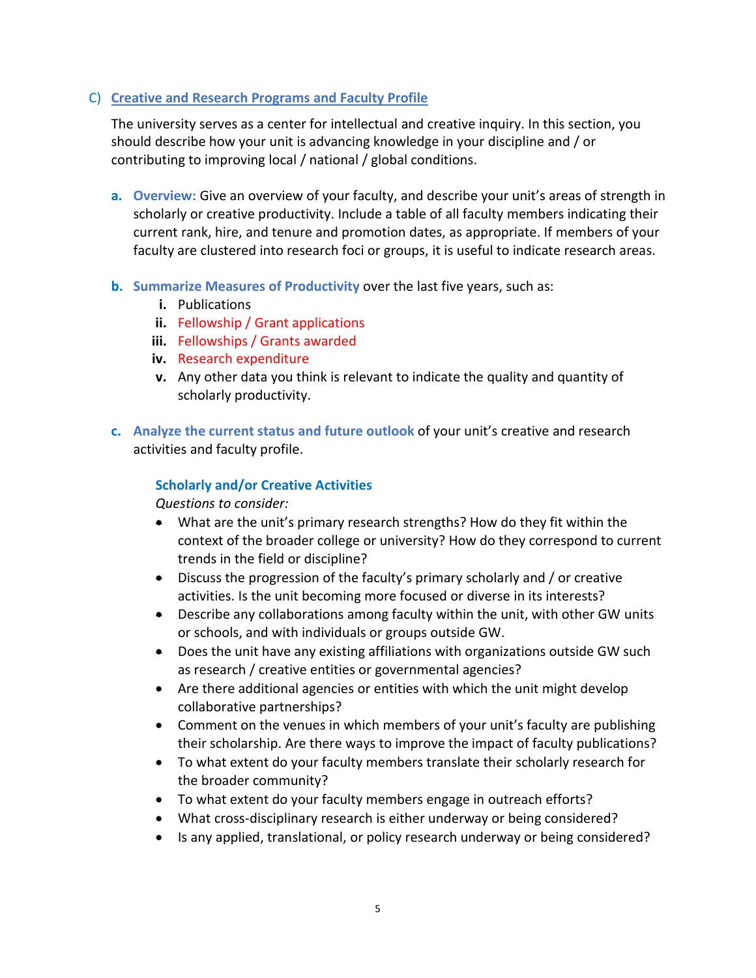#### C) **Creative and Research Programs and Faculty Profile**

The university serves as a center for intellectual and creative inquiry. In this section, you should describe how your unit is advancing knowledge in your discipline and / or contributing to improving local / national / global conditions.

- **a. Overview:** Give an overview of your faculty, and describe your unit's areas of strength in scholarly or creative productivity. Include a table of all faculty members indicating their current rank, hire, and tenure and promotion dates, as appropriate. If members of your faculty are clustered into research foci or groups, it is useful to indicate research areas.
- **b. Summarize Measures of Productivity** over the last five years, such as:
	- **i.** Publications
	- **ii.** Fellowship / Grant applications
	- **iii.** Fellowships / Grants awarded
	- **iv.** Research expenditure
	- **v.** Any other data you think is relevant to indicate the quality and quantity of scholarly productivity.
- **c. Analyze the current status and future outlook** of your unit's creative and research activities and faculty profile.

#### **Scholarly and/or Creative Activities**

- What are the unit's primary research strengths? How do they fit within the context of the broader college or university? How do they correspond to current trends in the field or discipline?
- Discuss the progression of the faculty's primary scholarly and / or creative activities. Is the unit becoming more focused or diverse in its interests?
- Describe any collaborations among faculty within the unit, with other GW units or schools, and with individuals or groups outside GW.
- Does the unit have any existing affiliations with organizations outside GW such as research / creative entities or governmental agencies?
- Are there additional agencies or entities with which the unit might develop collaborative partnerships?
- Comment on the venues in which members of your unit's faculty are publishing their scholarship. Are there ways to improve the impact of faculty publications?
- To what extent do your faculty members translate their scholarly research for the broader community?
- To what extent do your faculty members engage in outreach efforts?
- What cross-disciplinary research is either underway or being considered?
- Is any applied, translational, or policy research underway or being considered?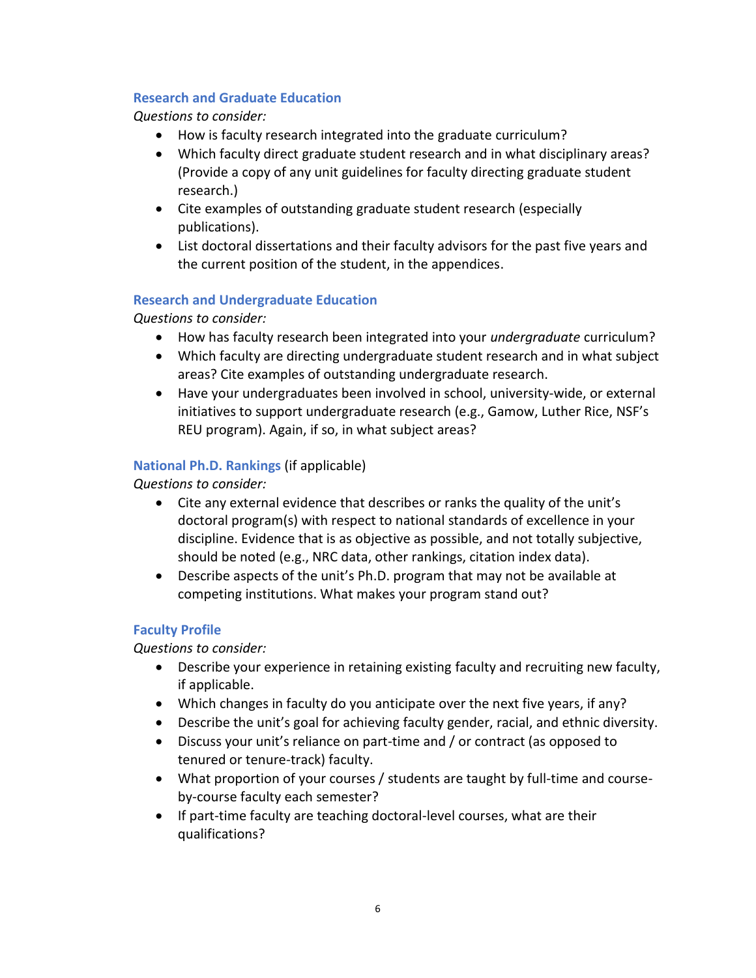#### **Research and Graduate Education**

*Questions to consider:*

- How is faculty research integrated into the graduate curriculum?
- Which faculty direct graduate student research and in what disciplinary areas? (Provide a copy of any unit guidelines for faculty directing graduate student research.)
- Cite examples of outstanding graduate student research (especially publications).
- List doctoral dissertations and their faculty advisors for the past five years and the current position of the student, in the appendices.

# **Research and Undergraduate Education**

*Questions to consider:*

- How has faculty research been integrated into your *undergraduate* curriculum?
- Which faculty are directing undergraduate student research and in what subject areas? Cite examples of outstanding undergraduate research.
- Have your undergraduates been involved in school, university-wide, or external initiatives to support undergraduate research (e.g., Gamow, Luther Rice, NSF's REU program). Again, if so, in what subject areas?

# **National Ph.D. Rankings** (if applicable)

*Questions to consider:*

- Cite any external evidence that describes or ranks the quality of the unit's doctoral program(s) with respect to national standards of excellence in your discipline. Evidence that is as objective as possible, and not totally subjective, should be noted (e.g., NRC data, other rankings, citation index data).
- Describe aspects of the unit's Ph.D. program that may not be available at competing institutions. What makes your program stand out?

# **Faculty Profile**

- Describe your experience in retaining existing faculty and recruiting new faculty, if applicable.
- Which changes in faculty do you anticipate over the next five years, if any?
- Describe the unit's goal for achieving faculty gender, racial, and ethnic diversity.
- Discuss your unit's reliance on part-time and / or contract (as opposed to tenured or tenure-track) faculty.
- What proportion of your courses / students are taught by full-time and courseby-course faculty each semester?
- If part-time faculty are teaching doctoral-level courses, what are their qualifications?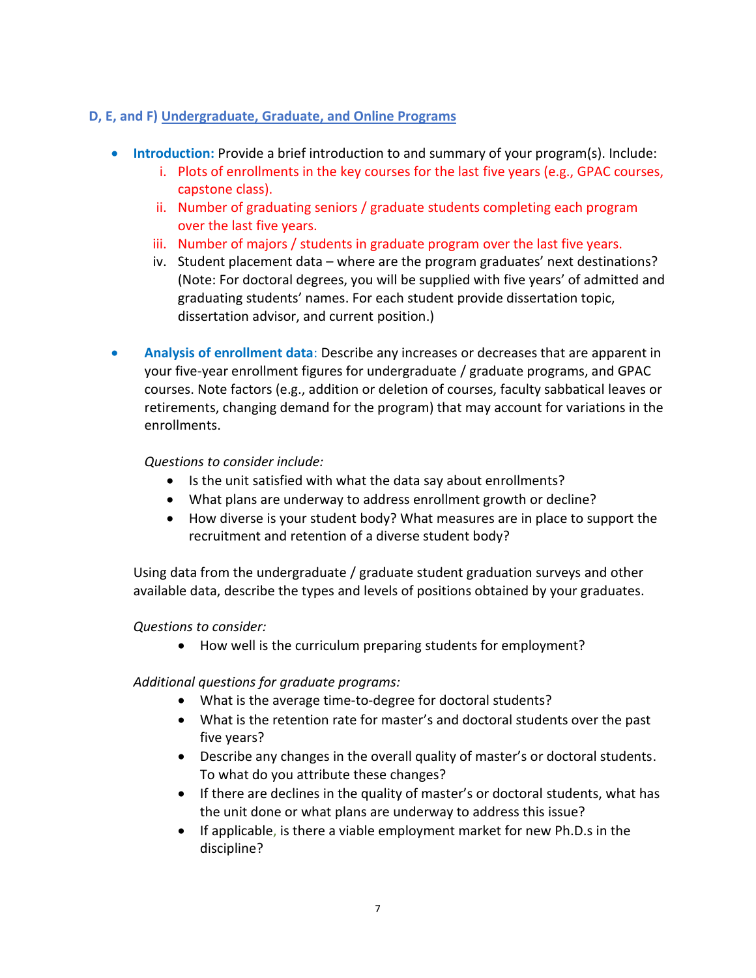# **D, E, and F) Undergraduate, Graduate, and Online Programs**

- **Introduction:** Provide a brief introduction to and summary of your program(s). Include:
	- i. Plots of enrollments in the key courses for the last five years (e.g., GPAC courses, capstone class).
	- ii. Number of graduating seniors / graduate students completing each program over the last five years.
	- iii. Number of majors / students in graduate program over the last five years.
	- iv. Student placement data where are the program graduates' next destinations? (Note: For doctoral degrees, you will be supplied with five years' of admitted and graduating students' names. For each student provide dissertation topic, dissertation advisor, and current position.)
- **Analysis of enrollment data**: Describe any increases or decreases that are apparent in your five-year enrollment figures for undergraduate / graduate programs, and GPAC courses. Note factors (e.g., addition or deletion of courses, faculty sabbatical leaves or retirements, changing demand for the program) that may account for variations in the enrollments.

# *Questions to consider include:*

- Is the unit satisfied with what the data say about enrollments?
- What plans are underway to address enrollment growth or decline?
- How diverse is your student body? What measures are in place to support the recruitment and retention of a diverse student body?

Using data from the undergraduate / graduate student graduation surveys and other available data, describe the types and levels of positions obtained by your graduates.

# *Questions to consider:*

How well is the curriculum preparing students for employment?

*Additional questions for graduate programs:*

- What is the average time-to-degree for doctoral students?
- What is the retention rate for master's and doctoral students over the past five years?
- Describe any changes in the overall quality of master's or doctoral students. To what do you attribute these changes?
- If there are declines in the quality of master's or doctoral students, what has the unit done or what plans are underway to address this issue?
- If applicable, is there a viable employment market for new Ph.D.s in the discipline?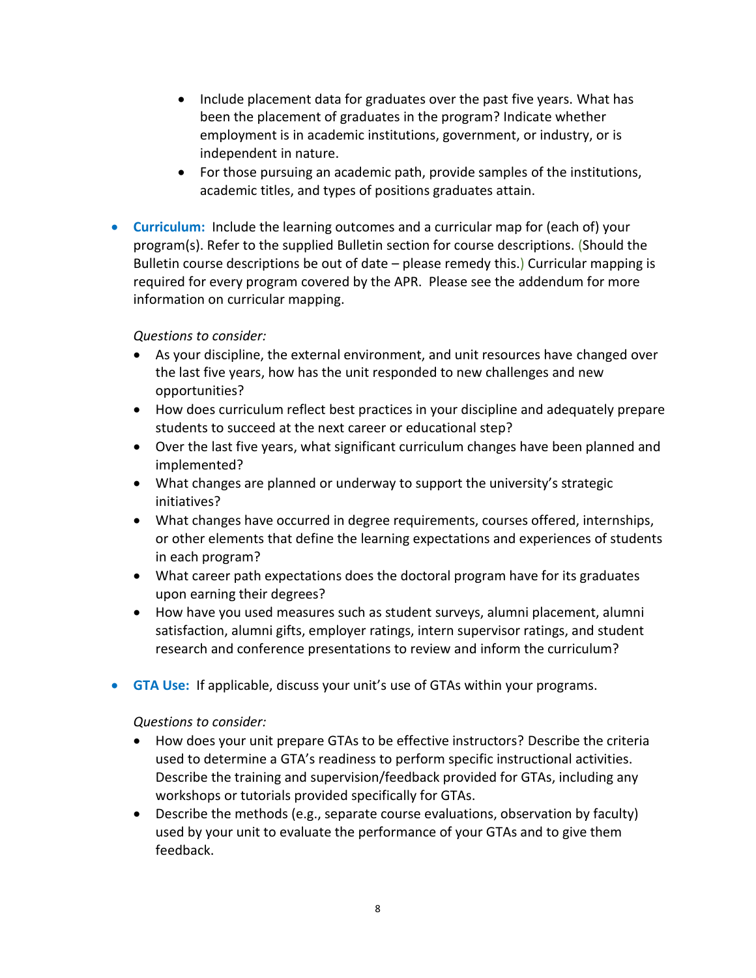- Include placement data for graduates over the past five years. What has been the placement of graduates in the program? Indicate whether employment is in academic institutions, government, or industry, or is independent in nature.
- For those pursuing an academic path, provide samples of the institutions, academic titles, and types of positions graduates attain.
- **Curriculum:** Include the learning outcomes and a curricular map for (each of) your program(s). Refer to the supplied Bulletin section for course descriptions. (Should the Bulletin course descriptions be out of date – please remedy this.) Curricular mapping is required for every program covered by the APR. Please see the addendum for more information on curricular mapping.

#### *Questions to consider:*

- As your discipline, the external environment, and unit resources have changed over the last five years, how has the unit responded to new challenges and new opportunities?
- How does curriculum reflect best practices in your discipline and adequately prepare students to succeed at the next career or educational step?
- Over the last five years, what significant curriculum changes have been planned and implemented?
- What changes are planned or underway to support the university's strategic initiatives?
- What changes have occurred in degree requirements, courses offered, internships, or other elements that define the learning expectations and experiences of students in each program?
- What career path expectations does the doctoral program have for its graduates upon earning their degrees?
- How have you used measures such as student surveys, alumni placement, alumni satisfaction, alumni gifts, employer ratings, intern supervisor ratings, and student research and conference presentations to review and inform the curriculum?
- **GTA Use:** If applicable, discuss your unit's use of GTAs within your programs.

- How does your unit prepare GTAs to be effective instructors? Describe the criteria used to determine a GTA's readiness to perform specific instructional activities. Describe the training and supervision/feedback provided for GTAs, including any workshops or tutorials provided specifically for GTAs.
- Describe the methods (e.g., separate course evaluations, observation by faculty) used by your unit to evaluate the performance of your GTAs and to give them feedback.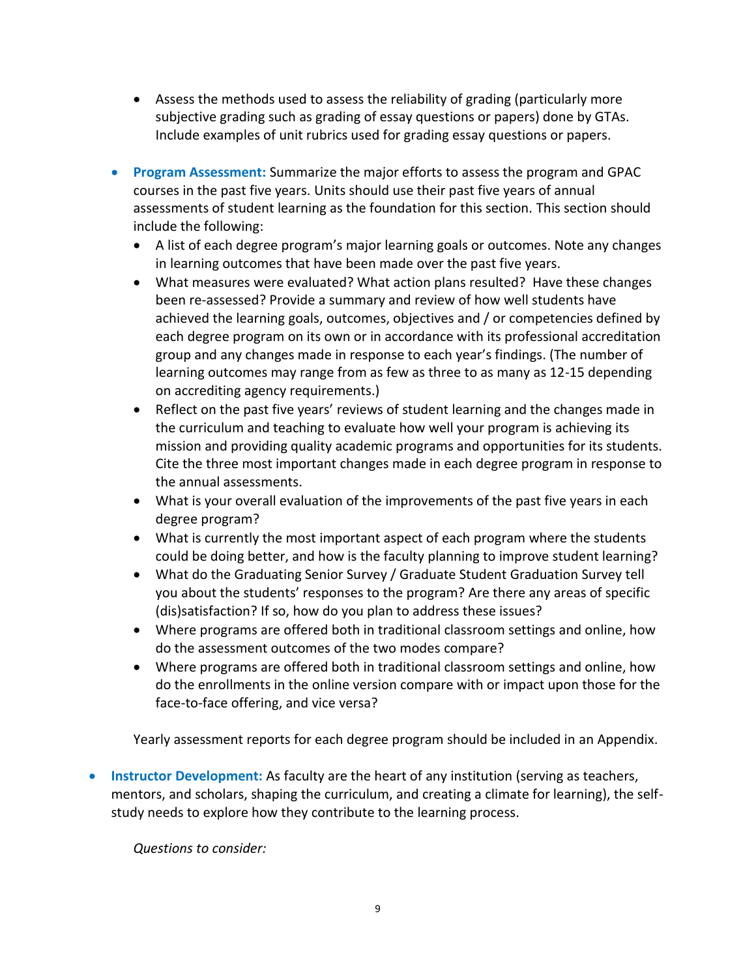- Assess the methods used to assess the reliability of grading (particularly more subjective grading such as grading of essay questions or papers) done by GTAs. Include examples of unit rubrics used for grading essay questions or papers.
- **Program Assessment:** Summarize the major efforts to assess the program and GPAC courses in the past five years. Units should use their past five years of annual assessments of student learning as the foundation for this section. This section should include the following:
	- A list of each degree program's major learning goals or outcomes. Note any changes in learning outcomes that have been made over the past five years.
	- What measures were evaluated? What action plans resulted? Have these changes been re-assessed? Provide a summary and review of how well students have achieved the learning goals, outcomes, objectives and / or competencies defined by each degree program on its own or in accordance with its professional accreditation group and any changes made in response to each year's findings. (The number of learning outcomes may range from as few as three to as many as 12-15 depending on accrediting agency requirements.)
	- Reflect on the past five years' reviews of student learning and the changes made in the curriculum and teaching to evaluate how well your program is achieving its mission and providing quality academic programs and opportunities for its students. Cite the three most important changes made in each degree program in response to the annual assessments.
	- What is your overall evaluation of the improvements of the past five years in each degree program?
	- What is currently the most important aspect of each program where the students could be doing better, and how is the faculty planning to improve student learning?
	- What do the Graduating Senior Survey / Graduate Student Graduation Survey tell you about the students' responses to the program? Are there any areas of specific (dis)satisfaction? If so, how do you plan to address these issues?
	- Where programs are offered both in traditional classroom settings and online, how do the assessment outcomes of the two modes compare?
	- Where programs are offered both in traditional classroom settings and online, how do the enrollments in the online version compare with or impact upon those for the face-to-face offering, and vice versa?

Yearly assessment reports for each degree program should be included in an Appendix.

**Instructor Development:** As faculty are the heart of any institution (serving as teachers, mentors, and scholars, shaping the curriculum, and creating a climate for learning), the selfstudy needs to explore how they contribute to the learning process.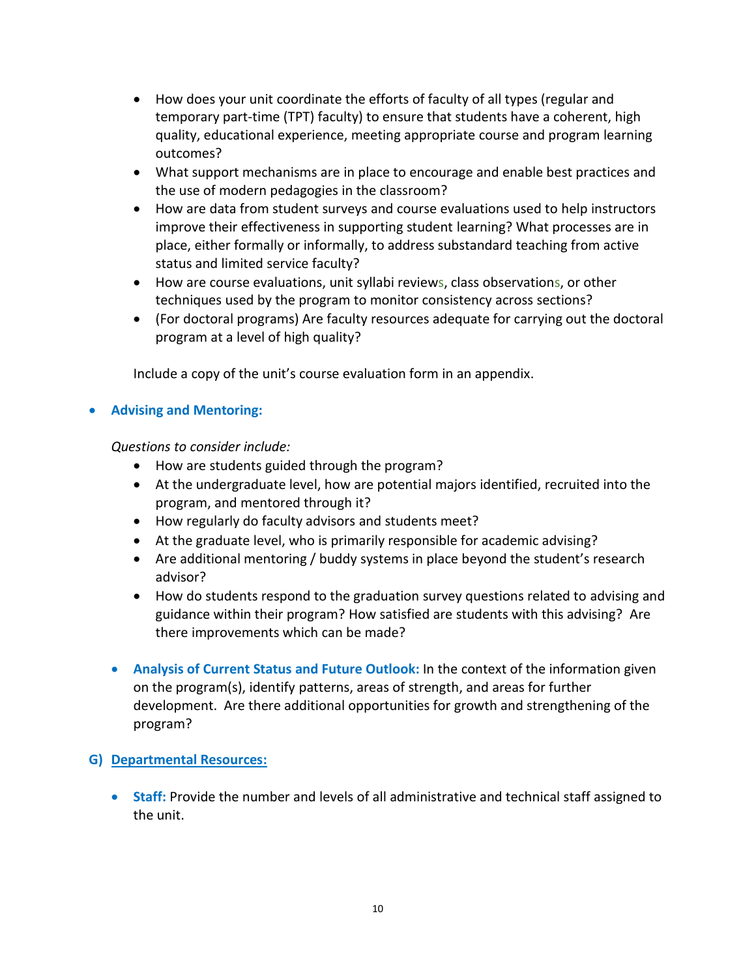- How does your unit coordinate the efforts of faculty of all types (regular and temporary part-time (TPT) faculty) to ensure that students have a coherent, high quality, educational experience, meeting appropriate course and program learning outcomes?
- What support mechanisms are in place to encourage and enable best practices and the use of modern pedagogies in the classroom?
- How are data from student surveys and course evaluations used to help instructors improve their effectiveness in supporting student learning? What processes are in place, either formally or informally, to address substandard teaching from active status and limited service faculty?
- How are course evaluations, unit syllabi reviews, class observations, or other techniques used by the program to monitor consistency across sections?
- (For doctoral programs) Are faculty resources adequate for carrying out the doctoral program at a level of high quality?

Include a copy of the unit's course evaluation form in an appendix.

# **Advising and Mentoring:**

*Questions to consider include:*

- How are students guided through the program?
- At the undergraduate level, how are potential majors identified, recruited into the program, and mentored through it?
- How regularly do faculty advisors and students meet?
- At the graduate level, who is primarily responsible for academic advising?
- Are additional mentoring / buddy systems in place beyond the student's research advisor?
- How do students respond to the graduation survey questions related to advising and guidance within their program? How satisfied are students with this advising? Are there improvements which can be made?
- **Analysis of Current Status and Future Outlook:** In the context of the information given on the program(s), identify patterns, areas of strength, and areas for further development. Are there additional opportunities for growth and strengthening of the program?

# **G) Departmental Resources:**

 **Staff:** Provide the number and levels of all administrative and technical staff assigned to the unit.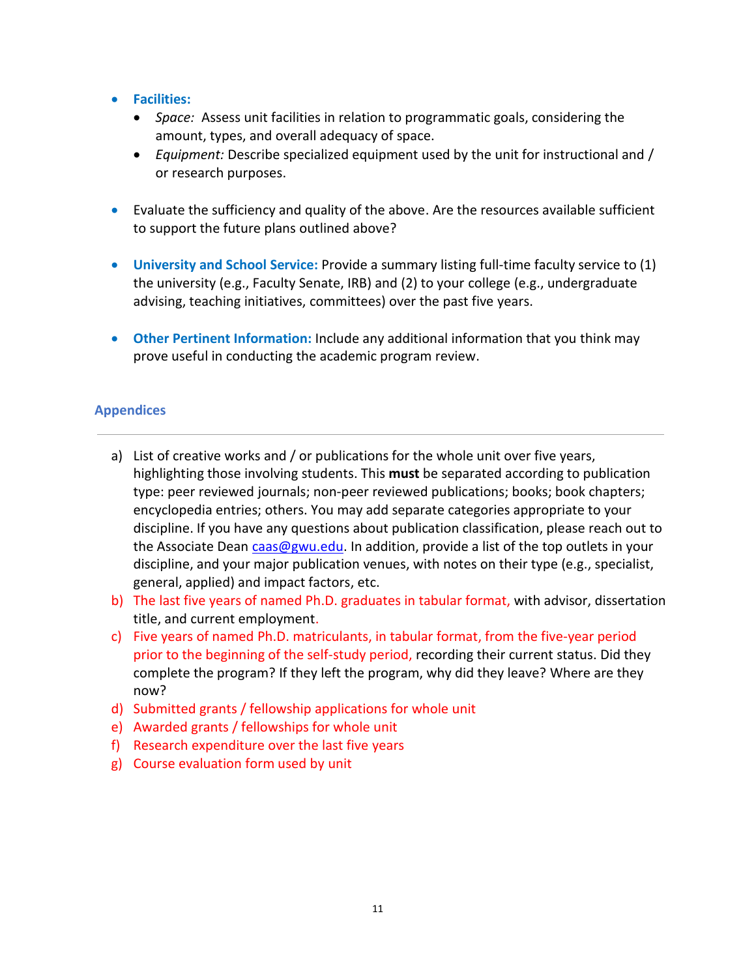- **Facilities:**
	- *Space:* Assess unit facilities in relation to programmatic goals, considering the amount, types, and overall adequacy of space.
	- *Equipment:* Describe specialized equipment used by the unit for instructional and / or research purposes.
- Evaluate the sufficiency and quality of the above. Are the resources available sufficient to support the future plans outlined above?
- **University and School Service:** Provide a summary listing full-time faculty service to (1) the university (e.g., Faculty Senate, IRB) and (2) to your college (e.g., undergraduate advising, teaching initiatives, committees) over the past five years.
- **Other Pertinent Information:** Include any additional information that you think may prove useful in conducting the academic program review.

#### **Appendices**

- a) List of creative works and / or publications for the whole unit over five years, highlighting those involving students. This **must** be separated according to publication type: peer reviewed journals; non-peer reviewed publications; books; book chapters; encyclopedia entries; others. You may add separate categories appropriate to your discipline. If you have any questions about publication classification, please reach out to the Associate Dean [caas@gwu.edu.](mailto:caas@gwu.edu) In addition, provide a list of the top outlets in your discipline, and your major publication venues, with notes on their type (e.g., specialist, general, applied) and impact factors, etc.
- b) The last five years of named Ph.D. graduates in tabular format, with advisor, dissertation title, and current employment.
- c) Five years of named Ph.D. matriculants, in tabular format, from the five-year period prior to the beginning of the self-study period, recording their current status. Did they complete the program? If they left the program, why did they leave? Where are they now?
- d) Submitted grants / fellowship applications for whole unit
- e) Awarded grants / fellowships for whole unit
- f) Research expenditure over the last five years
- g) Course evaluation form used by unit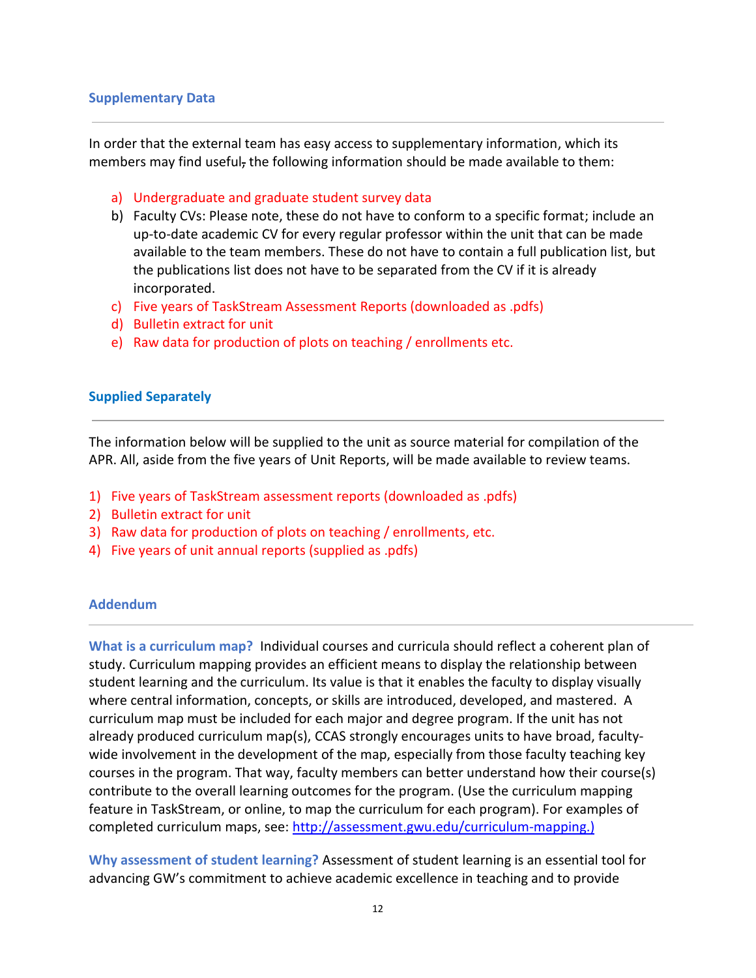#### **Supplementary Data**

In order that the external team has easy access to supplementary information, which its members may find useful, the following information should be made available to them:

- a) Undergraduate and graduate student survey data
- b) Faculty CVs: Please note, these do not have to conform to a specific format; include an up-to-date academic CV for every regular professor within the unit that can be made available to the team members. These do not have to contain a full publication list, but the publications list does not have to be separated from the CV if it is already incorporated.
- c) Five years of TaskStream Assessment Reports (downloaded as .pdfs)
- d) Bulletin extract for unit
- e) Raw data for production of plots on teaching / enrollments etc.

#### **Supplied Separately**

The information below will be supplied to the unit as source material for compilation of the APR. All, aside from the five years of Unit Reports, will be made available to review teams.

- 1) Five years of TaskStream assessment reports (downloaded as .pdfs)
- 2) Bulletin extract for unit
- 3) Raw data for production of plots on teaching / enrollments, etc.
- 4) Five years of unit annual reports (supplied as .pdfs)

#### **Addendum**

**What is a curriculum map?** Individual courses and curricula should reflect a coherent plan of study. Curriculum mapping provides an efficient means to display the relationship between student learning and the curriculum. Its value is that it enables the faculty to display visually where central information, concepts, or skills are introduced, developed, and mastered. A curriculum map must be included for each major and degree program. If the unit has not already produced curriculum map(s), CCAS strongly encourages units to have broad, facultywide involvement in the development of the map, especially from those faculty teaching key courses in the program. That way, faculty members can better understand how their course(s) contribute to the overall learning outcomes for the program. (Use the curriculum mapping feature in TaskStream, or online, to map the curriculum for each program). For examples of completed curriculum maps, see: [http://assessment.gwu.edu/curriculum-mapping.\)](http://assessment.gwu.edu/curriculum-mapping.))

**Why assessment of student learning?** Assessment of student learning is an essential tool for advancing GW's commitment to achieve academic excellence in teaching and to provide